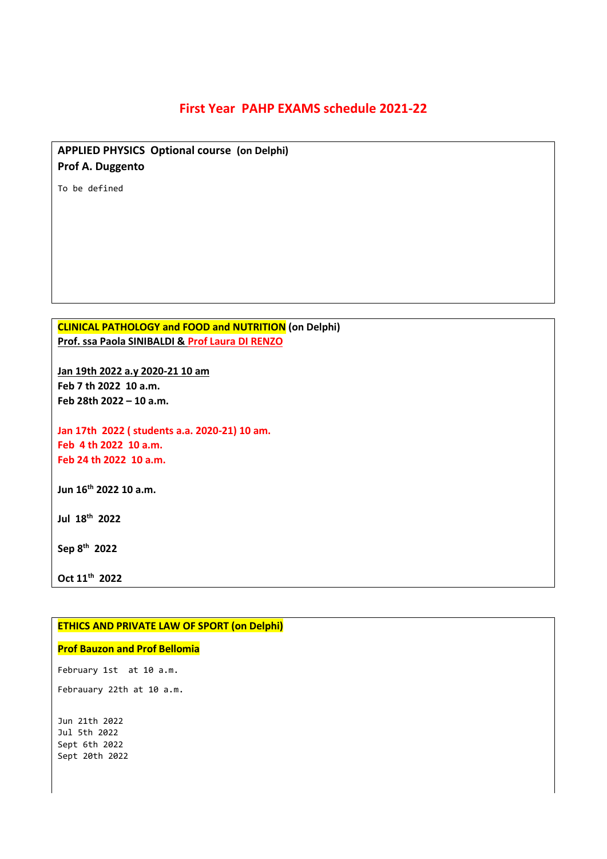## **First Year PAHP EXAMS schedule 2021-22**

```
APPLIED PHYSICS Optional course (on Delphi)
Prof A. Duggento
```
To be defined

#### **CLINICAL PATHOLOGY and FOOD and NUTRITION (on Delphi) Prof. ssa Paola SINIBALDI & Prof Laura DI RENZO**

**Jan 19th 2022 a.y 2020-21 10 am Feb 7 th 2022 10 a.m. Feb 28th 2022 – 10 a.m.**

**Jan 17th 2022 ( students a.a. 2020-21) 10 am. Feb 4 th 2022 10 a.m. Feb 24 th 2022 10 a.m.**

**Jun 16th 2022 10 a.m.**

**Jul 18th 2022**

**Sep 8 th 2022**

**Oct 11th 2022**

# **ETHICS AND PRIVATE LAW OF SPORT (on Delphi) Prof Bauzon and Prof Bellomia** February 1st at 10 a.m. Febrauary 22th at 10 a.m. Jun 21th 2022 Jul 5th 2022 Sept 6th 2022 Sept 20th 2022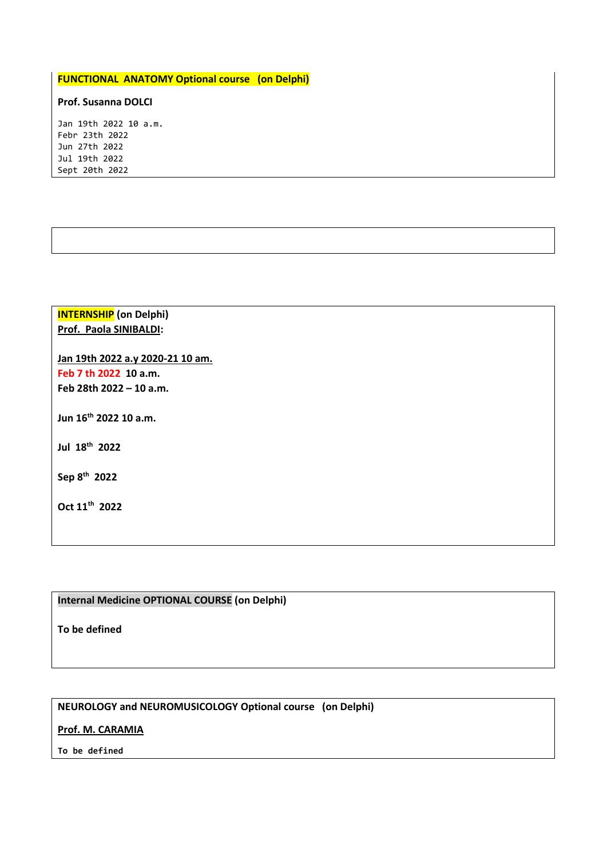## **FUNCTIONAL ANATOMY Optional course (on Delphi)**

**Prof. Susanna DOLCI**

Jan 19th 2022 10 a.m. Febr 23th 2022 Jun 27th 2022 Jul 19th 2022 Sept 20th 2022

**INTERNSHIP (on Delphi) Prof. Paola SINIBALDI:** 

**Jan 19th 2022 a.y 2020-21 10 am. Feb 7 th 2022 10 a.m. Feb 28th 2022 – 10 a.m.**

**Jun 16th 2022 10 a.m.**

**Jul 18th 2022**

**Sep 8 th 2022**

**Oct 11th 2022**

**Internal Medicine OPTIONAL COURSE (on Delphi)**

**To be defined**

#### **NEUROLOGY and NEUROMUSICOLOGY Optional course (on Delphi)**

**Prof. M. CARAMIA**

**To be defined**